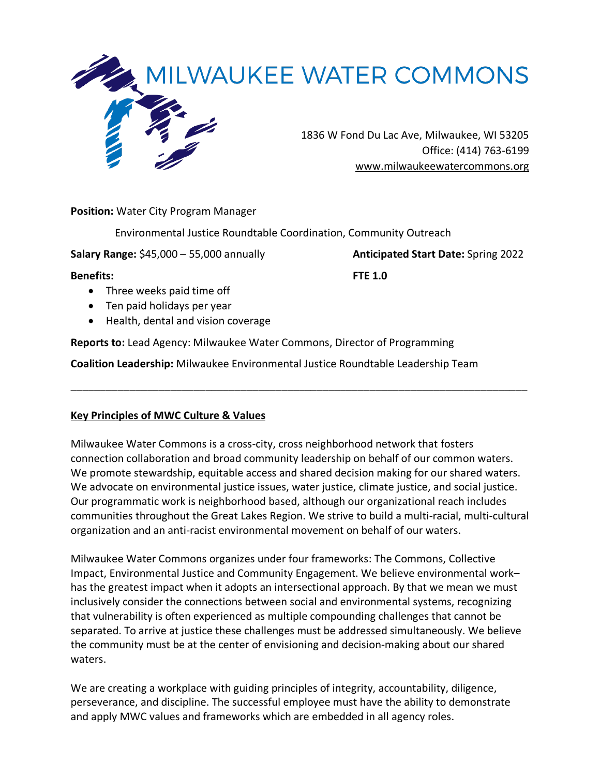

**Position:** Water City Program Manager

Environmental Justice Roundtable Coordination, Community Outreach

**Salary Range:** \$45,000 – 55,000 annually **Anticipated Start Date:** Spring 2022

**Benefits: FTE 1.0** 

- Three weeks paid time off
- Ten paid holidays per year
- Health, dental and vision coverage

**Reports to:** Lead Agency: Milwaukee Water Commons, Director of Programming

**Coalition Leadership:** Milwaukee Environmental Justice Roundtable Leadership Team

# **Key Principles of MWC Culture & Values**

Milwaukee Water Commons is a cross-city, cross neighborhood network that fosters connection collaboration and broad community leadership on behalf of our common waters. We promote stewardship, equitable access and shared decision making for our shared waters. We advocate on environmental justice issues, water justice, climate justice, and social justice. Our programmatic work is neighborhood based, although our organizational reach includes communities throughout the Great Lakes Region. We strive to build a multi-racial, multi-cultural organization and an anti-racist environmental movement on behalf of our waters.

\_\_\_\_\_\_\_\_\_\_\_\_\_\_\_\_\_\_\_\_\_\_\_\_\_\_\_\_\_\_\_\_\_\_\_\_\_\_\_\_\_\_\_\_\_\_\_\_\_\_\_\_\_\_\_\_\_\_\_\_\_\_\_\_\_\_\_\_\_\_\_\_\_\_\_\_\_\_

Milwaukee Water Commons organizes under four frameworks: The Commons, Collective Impact, Environmental Justice and Community Engagement. We believe environmental work– has the greatest impact when it adopts an intersectional approach. By that we mean we must inclusively consider the connections between social and environmental systems, recognizing that vulnerability is often experienced as multiple compounding challenges that cannot be separated. To arrive at justice these challenges must be addressed simultaneously. We believe the community must be at the center of envisioning and decision-making about our shared waters.

We are creating a workplace with guiding principles of integrity, accountability, diligence, perseverance, and discipline. The successful employee must have the ability to demonstrate and apply MWC values and frameworks which are embedded in all agency roles.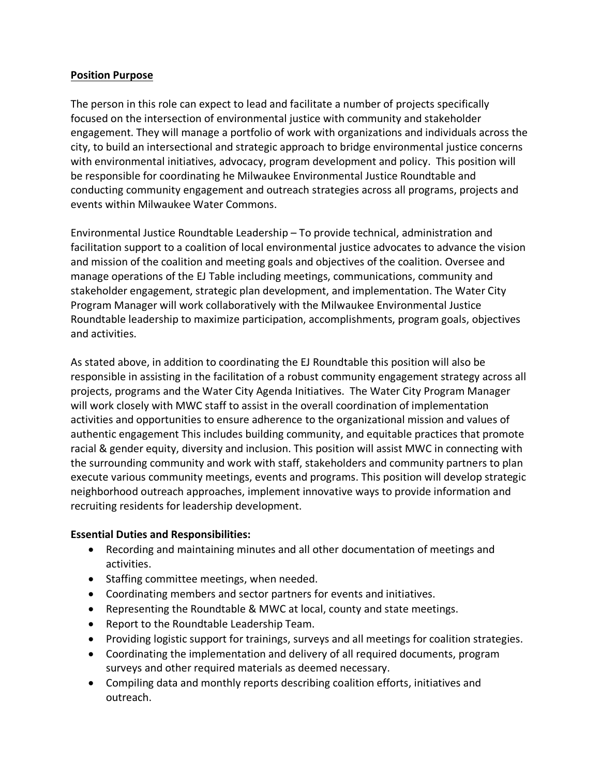## **Position Purpose**

The person in this role can expect to lead and facilitate a number of projects specifically focused on the intersection of environmental justice with community and stakeholder engagement. They will manage a portfolio of work with organizations and individuals across the city, to build an intersectional and strategic approach to bridge environmental justice concerns with environmental initiatives, advocacy, program development and policy. This position will be responsible for coordinating he Milwaukee Environmental Justice Roundtable and conducting community engagement and outreach strategies across all programs, projects and events within Milwaukee Water Commons.

Environmental Justice Roundtable Leadership – To provide technical, administration and facilitation support to a coalition of local environmental justice advocates to advance the vision and mission of the coalition and meeting goals and objectives of the coalition. Oversee and manage operations of the EJ Table including meetings, communications, community and stakeholder engagement, strategic plan development, and implementation. The Water City Program Manager will work collaboratively with the Milwaukee Environmental Justice Roundtable leadership to maximize participation, accomplishments, program goals, objectives and activities.

As stated above, in addition to coordinating the EJ Roundtable this position will also be responsible in assisting in the facilitation of a robust community engagement strategy across all projects, programs and the Water City Agenda Initiatives. The Water City Program Manager will work closely with MWC staff to assist in the overall coordination of implementation activities and opportunities to ensure adherence to the organizational mission and values of authentic engagement This includes building community, and equitable practices that promote racial & gender equity, diversity and inclusion. This position will assist MWC in connecting with the surrounding community and work with staff, stakeholders and community partners to plan execute various community meetings, events and programs. This position will develop strategic neighborhood outreach approaches, implement innovative ways to provide information and recruiting residents for leadership development.

# **Essential Duties and Responsibilities:**

- Recording and maintaining minutes and all other documentation of meetings and activities.
- Staffing committee meetings, when needed.
- Coordinating members and sector partners for events and initiatives.
- Representing the Roundtable & MWC at local, county and state meetings.
- Report to the Roundtable Leadership Team.
- Providing logistic support for trainings, surveys and all meetings for coalition strategies.
- Coordinating the implementation and delivery of all required documents, program surveys and other required materials as deemed necessary.
- Compiling data and monthly reports describing coalition efforts, initiatives and outreach.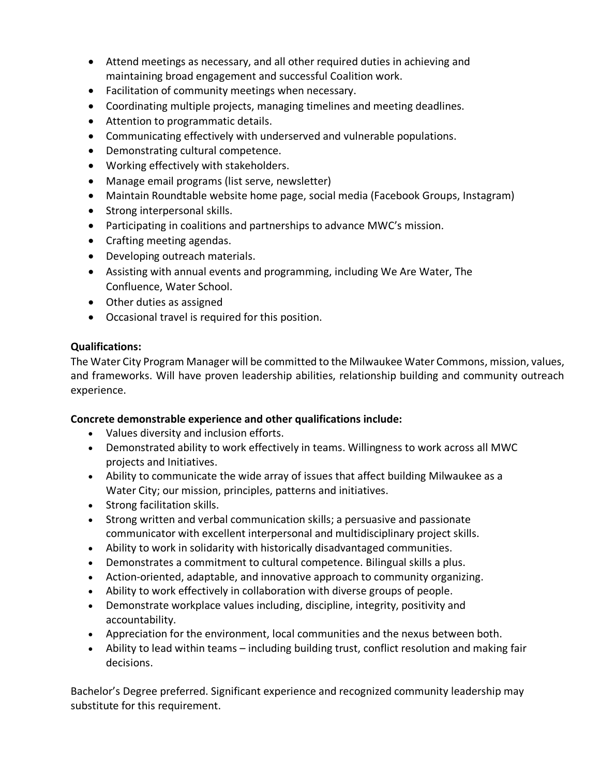- Attend meetings as necessary, and all other required duties in achieving and maintaining broad engagement and successful Coalition work.
- Facilitation of community meetings when necessary.
- Coordinating multiple projects, managing timelines and meeting deadlines.
- Attention to programmatic details.
- Communicating effectively with underserved and vulnerable populations.
- Demonstrating cultural competence.
- Working effectively with stakeholders.
- Manage email programs (list serve, newsletter)
- Maintain Roundtable website home page, social media (Facebook Groups, Instagram)
- Strong interpersonal skills.
- Participating in coalitions and partnerships to advance MWC's mission.
- Crafting meeting agendas.
- Developing outreach materials.
- Assisting with annual events and programming, including We Are Water, The Confluence, Water School.
- Other duties as assigned
- Occasional travel is required for this position.

## **Qualifications:**

The Water City Program Manager will be committed to the Milwaukee Water Commons, mission, values, and frameworks. Will have proven leadership abilities, relationship building and community outreach experience.

# **Concrete demonstrable experience and other qualifications include:**

- Values diversity and inclusion efforts.
- Demonstrated ability to work effectively in teams. Willingness to work across all MWC projects and Initiatives.
- Ability to communicate the wide array of issues that affect building Milwaukee as a Water City; our mission, principles, patterns and initiatives.
- Strong facilitation skills.
- Strong written and verbal communication skills; a persuasive and passionate communicator with excellent interpersonal and multidisciplinary project skills.
- Ability to work in solidarity with historically disadvantaged communities.
- Demonstrates a commitment to cultural competence. Bilingual skills a plus.
- Action-oriented, adaptable, and innovative approach to community organizing.
- Ability to work effectively in collaboration with diverse groups of people.
- Demonstrate workplace values including, discipline, integrity, positivity and accountability.
- Appreciation for the environment, local communities and the nexus between both.
- Ability to lead within teams including building trust, conflict resolution and making fair decisions.

Bachelor's Degree preferred. Significant experience and recognized community leadership may substitute for this requirement.